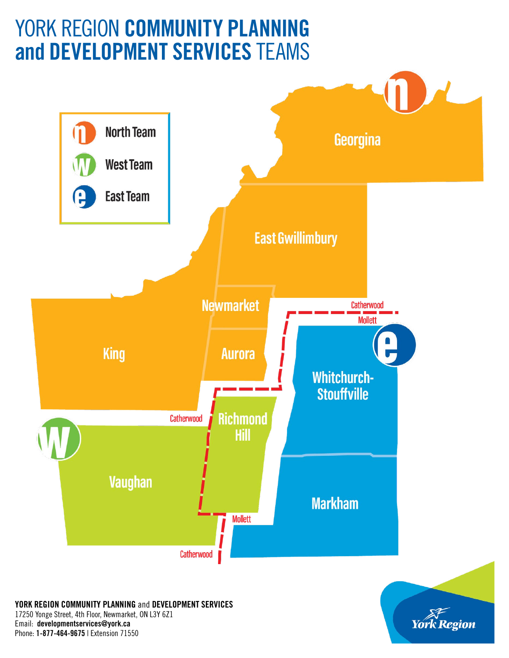# YORK REGION COMMUNITY PLANNING and DEVELOPMENT SERVICES TEAMS